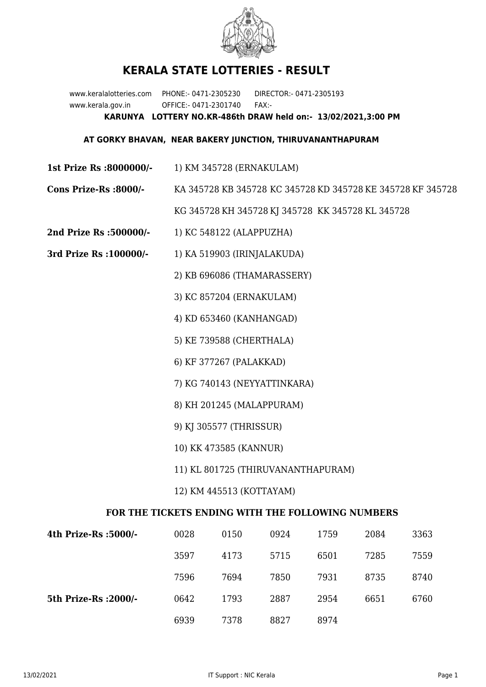

## **KERALA STATE LOTTERIES - RESULT**

www.keralalotteries.com PHONE:- 0471-2305230 DIRECTOR:- 0471-2305193 www.kerala.gov.in OFFICE:- 0471-2301740 FAX:- **KARUNYA LOTTERY NO.KR-486th DRAW held on:- 13/02/2021,3:00 PM**

## **AT GORKY BHAVAN, NEAR BAKERY JUNCTION, THIRUVANANTHAPURAM**

- **1st Prize Rs :8000000/-** 1) KM 345728 (ERNAKULAM)
- **Cons Prize-Rs :8000/-** KA 345728 KB 345728 KC 345728 KD 345728 KE 345728 KF 345728 KG 345728 KH 345728 KJ 345728 KK 345728 KL 345728
- **2nd Prize Rs :500000/-** 1) KC 548122 (ALAPPUZHA)
- **3rd Prize Rs :100000/-** 1) KA 519903 (IRINJALAKUDA)
	- 2) KB 696086 (THAMARASSERY)
	- 3) KC 857204 (ERNAKULAM)
	- 4) KD 653460 (KANHANGAD)
	- 5) KE 739588 (CHERTHALA)
	- 6) KF 377267 (PALAKKAD)
	- 7) KG 740143 (NEYYATTINKARA)
	- 8) KH 201245 (MALAPPURAM)
	- 9) KJ 305577 (THRISSUR)
	- 10) KK 473585 (KANNUR)
	- 11) KL 801725 (THIRUVANANTHAPURAM)
	- 12) KM 445513 (KOTTAYAM)

## **FOR THE TICKETS ENDING WITH THE FOLLOWING NUMBERS**

| 4th Prize-Rs :5000/-  | 0028 | 0150 | 0924 | 1759 | 2084 | 3363 |
|-----------------------|------|------|------|------|------|------|
|                       | 3597 | 4173 | 5715 | 6501 | 7285 | 7559 |
|                       | 7596 | 7694 | 7850 | 7931 | 8735 | 8740 |
| 5th Prize-Rs : 2000/- | 0642 | 1793 | 2887 | 2954 | 6651 | 6760 |
|                       | 6939 | 7378 | 8827 | 8974 |      |      |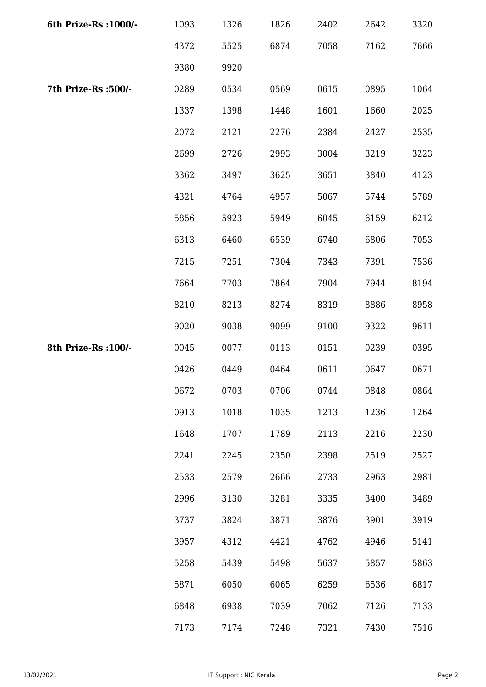| 6th Prize-Rs : 1000/- | 1093 | 1326 | 1826 | 2402 | 2642 | 3320 |
|-----------------------|------|------|------|------|------|------|
|                       | 4372 | 5525 | 6874 | 7058 | 7162 | 7666 |
|                       | 9380 | 9920 |      |      |      |      |
| 7th Prize-Rs :500/-   | 0289 | 0534 | 0569 | 0615 | 0895 | 1064 |
|                       | 1337 | 1398 | 1448 | 1601 | 1660 | 2025 |
|                       | 2072 | 2121 | 2276 | 2384 | 2427 | 2535 |
|                       | 2699 | 2726 | 2993 | 3004 | 3219 | 3223 |
|                       | 3362 | 3497 | 3625 | 3651 | 3840 | 4123 |
|                       | 4321 | 4764 | 4957 | 5067 | 5744 | 5789 |
|                       | 5856 | 5923 | 5949 | 6045 | 6159 | 6212 |
|                       | 6313 | 6460 | 6539 | 6740 | 6806 | 7053 |
|                       | 7215 | 7251 | 7304 | 7343 | 7391 | 7536 |
|                       | 7664 | 7703 | 7864 | 7904 | 7944 | 8194 |
|                       | 8210 | 8213 | 8274 | 8319 | 8886 | 8958 |
|                       | 9020 | 9038 | 9099 | 9100 | 9322 | 9611 |
| 8th Prize-Rs : 100/-  | 0045 | 0077 | 0113 | 0151 | 0239 | 0395 |
|                       | 0426 | 0449 | 0464 | 0611 | 0647 | 0671 |
|                       | 0672 | 0703 | 0706 | 0744 | 0848 | 0864 |
|                       | 0913 | 1018 | 1035 | 1213 | 1236 | 1264 |
|                       | 1648 | 1707 | 1789 | 2113 | 2216 | 2230 |
|                       | 2241 | 2245 | 2350 | 2398 | 2519 | 2527 |
|                       | 2533 | 2579 | 2666 | 2733 | 2963 | 2981 |
|                       | 2996 | 3130 | 3281 | 3335 | 3400 | 3489 |
|                       | 3737 | 3824 | 3871 | 3876 | 3901 | 3919 |
|                       | 3957 | 4312 | 4421 | 4762 | 4946 | 5141 |
|                       | 5258 | 5439 | 5498 | 5637 | 5857 | 5863 |
|                       | 5871 | 6050 | 6065 | 6259 | 6536 | 6817 |
|                       | 6848 | 6938 | 7039 | 7062 | 7126 | 7133 |
|                       | 7173 | 7174 | 7248 | 7321 | 7430 | 7516 |